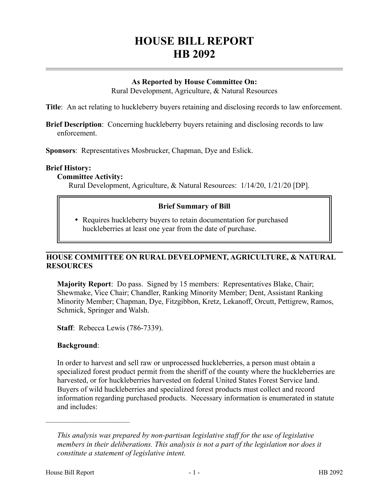# **HOUSE BILL REPORT HB 2092**

# **As Reported by House Committee On:**

Rural Development, Agriculture, & Natural Resources

**Title**: An act relating to huckleberry buyers retaining and disclosing records to law enforcement.

**Brief Description**: Concerning huckleberry buyers retaining and disclosing records to law enforcement.

**Sponsors**: Representatives Mosbrucker, Chapman, Dye and Eslick.

## **Brief History:**

#### **Committee Activity:**

Rural Development, Agriculture, & Natural Resources: 1/14/20, 1/21/20 [DP].

## **Brief Summary of Bill**

 Requires huckleberry buyers to retain documentation for purchased huckleberries at least one year from the date of purchase.

## **HOUSE COMMITTEE ON RURAL DEVELOPMENT, AGRICULTURE, & NATURAL RESOURCES**

**Majority Report**: Do pass. Signed by 15 members: Representatives Blake, Chair; Shewmake, Vice Chair; Chandler, Ranking Minority Member; Dent, Assistant Ranking Minority Member; Chapman, Dye, Fitzgibbon, Kretz, Lekanoff, Orcutt, Pettigrew, Ramos, Schmick, Springer and Walsh.

**Staff**: Rebecca Lewis (786-7339).

#### **Background**:

––––––––––––––––––––––

In order to harvest and sell raw or unprocessed huckleberries, a person must obtain a specialized forest product permit from the sheriff of the county where the huckleberries are harvested, or for huckleberries harvested on federal United States Forest Service land. Buyers of wild huckleberries and specialized forest products must collect and record information regarding purchased products. Necessary information is enumerated in statute and includes:

*This analysis was prepared by non-partisan legislative staff for the use of legislative members in their deliberations. This analysis is not a part of the legislation nor does it constitute a statement of legislative intent.*